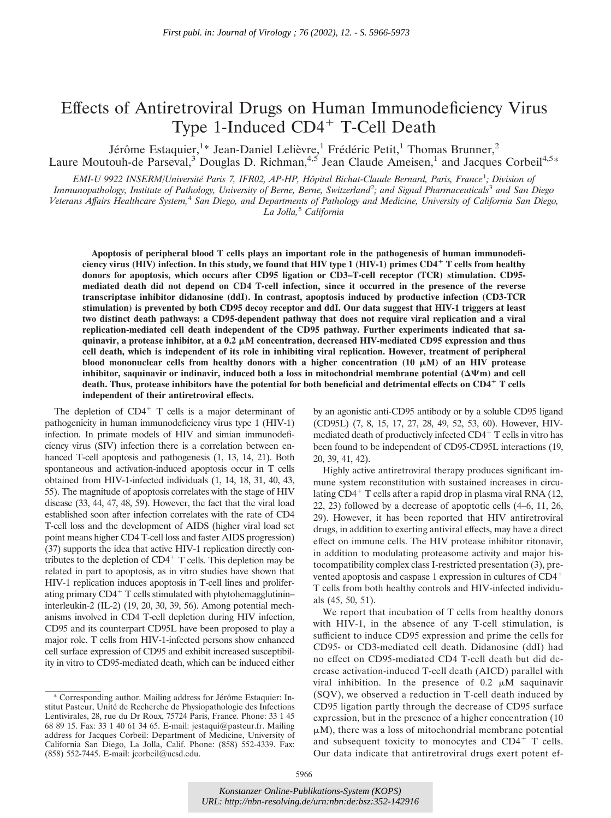# Effects of Antiretroviral Drugs on Human Immunodeficiency Virus Type 1-Induced CD4<sup>+</sup> T-Cell Death

Jérôme Estaquier,<sup>1</sup>\* Jean-Daniel Lelièvre,<sup>1</sup> Frédéric Petit,<sup>1</sup> Thomas Brunner,<sup>2</sup> Laure Moutouh-de Parseval,<sup>3</sup> Douglas D. Richman,<sup>4,5</sup> Jean Claude Ameisen,<sup>1</sup> and Jacques Corbeil<sup>4,5\*</sup>

*EMI-U 9922 INSERM/Université Paris 7, IFR02, AP-HP, Hôpital Bichat-Claude Bernard, Paris, France*<sup>1</sup> *; Division of* Immunopathology, Institute of Pathology, University of Berne, Berne, Switzerland<sup>2</sup>; and Signal Pharmaceuticals<sup>3</sup> and San Diego *Veterans Affairs Healthcare System,*<sup>4</sup> *San Diego, and Departments of Pathology and Medicine, University of California San Diego, La Jolla,*<sup>5</sup> *California*

**Apoptosis of peripheral blood T cells plays an important role in the pathogenesis of human immunodeficiency virus (HIV) infection. In this study, we found that HIV type 1 (HIV-1) primes CD4 T cells from healthy donors for apoptosis, which occurs after CD95 ligation or CD3–T-cell receptor (TCR) stimulation. CD95 mediated death did not depend on CD4 T-cell infection, since it occurred in the presence of the reverse transcriptase inhibitor didanosine (ddI). In contrast, apoptosis induced by productive infection (CD3-TCR stimulation) is prevented by both CD95 decoy receptor and ddI. Our data suggest that HIV-1 triggers at least two distinct death pathways: a CD95-dependent pathway that does not require viral replication and a viral replication-mediated cell death independent of the CD95 pathway. Further experiments indicated that sa** $q$ uinavir, a protease inhibitor, at a  $0.2 \ \mu$ M concentration, decreased HIV-mediated CD95 expression and thus **cell death, which is independent of its role in inhibiting viral replication. However, treatment of peripheral blood mononuclear cells from healthy donors with a higher concentration (10 μM) of an HIV protease inhibitor, saquinavir or indinavir, induced both a loss in mitochondrial membrane potential**  $(\Delta \Psi m)$  **and cell death. Thus, protease inhibitors have the potential for both beneficial and detrimental effects on CD4 T cells independent of their antiretroviral effects.**

The depletion of  $CD4^+$  T cells is a major determinant of pathogenicity in human immunodeficiency virus type 1 (HIV-1) infection. In primate models of HIV and simian immunodeficiency virus (SIV) infection there is a correlation between enhanced T-cell apoptosis and pathogenesis (1, 13, 14, 21). Both spontaneous and activation-induced apoptosis occur in T cells obtained from HIV-1-infected individuals (1, 14, 18, 31, 40, 43, 55). The magnitude of apoptosis correlates with the stage of HIV disease (33, 44, 47, 48, 59). However, the fact that the viral load established soon after infection correlates with the rate of CD4 T-cell loss and the development of AIDS (higher viral load set point means higher CD4 T-cell loss and faster AIDS progression) (37) supports the idea that active HIV-1 replication directly contributes to the depletion of  $CD4<sup>+</sup>$  T cells. This depletion may be related in part to apoptosis, as in vitro studies have shown that HIV-1 replication induces apoptosis in T-cell lines and proliferating primary  $CD4^+$  T cells stimulated with phytohemagglutinin– interleukin-2 (IL-2) (19, 20, 30, 39, 56). Among potential mechanisms involved in CD4 T-cell depletion during HIV infection, CD95 and its counterpart CD95L have been proposed to play a major role. T cells from HIV-1-infected persons show enhanced cell surface expression of CD95 and exhibit increased susceptibility in vitro to CD95-mediated death, which can be induced either

by an agonistic anti-CD95 antibody or by a soluble CD95 ligand (CD95L) (7, 8, 15, 17, 27, 28, 49, 52, 53, 60). However, HIVmediated death of productively infected CD4<sup>+</sup> T cells in vitro has been found to be independent of CD95-CD95L interactions (19, 20, 39, 41, 42).

Highly active antiretroviral therapy produces significant immune system reconstitution with sustained increases in circulating  $CD4^+$  T cells after a rapid drop in plasma viral RNA (12, 22, 23) followed by a decrease of apoptotic cells (4–6, 11, 26, 29). However, it has been reported that HIV antiretroviral drugs, in addition to exerting antiviral effects, may have a direct effect on immune cells. The HIV protease inhibitor ritonavir, in addition to modulating proteasome activity and major histocompatibility complex class I-restricted presentation (3), prevented apoptosis and caspase 1 expression in cultures of CD4 T cells from both healthy controls and HIV-infected individuals (45, 50, 51).

We report that incubation of T cells from healthy donors with HIV-1, in the absence of any T-cell stimulation, is sufficient to induce CD95 expression and prime the cells for CD95- or CD3-mediated cell death. Didanosine (ddI) had no effect on CD95-mediated CD4 T-cell death but did decrease activation-induced T-cell death (AICD) parallel with viral inhibition. In the presence of  $0.2 \mu M$  saquinavir (SQV), we observed a reduction in T-cell death induced by CD95 ligation partly through the decrease of CD95 surface expression, but in the presence of a higher concentration (10  $\mu$ M), there was a loss of mitochondrial membrane potential and subsequent toxicity to monocytes and  $CD4<sup>+</sup>$  T cells. Our data indicate that antiretroviral drugs exert potent ef-

Corresponding author. Mailing address for Jérôme Estaquier: Institut Pasteur, Unité de Recherche de Physiopathologie des Infections Lentivirales, 28, rue du Dr Roux, 75724 Paris, France. Phone: 33 1 45 68 89 15. Fax: 33 1 40 61 34 65. E-mail: jestaqui@pasteur.fr. Mailing address for Jacques Corbeil: Department of Medicine, University of California San Diego, La Jolla, Calif. Phone: (858) 552-4339. Fax: (858) 552-7445. E-mail: jcorbeil@ucsd.edu.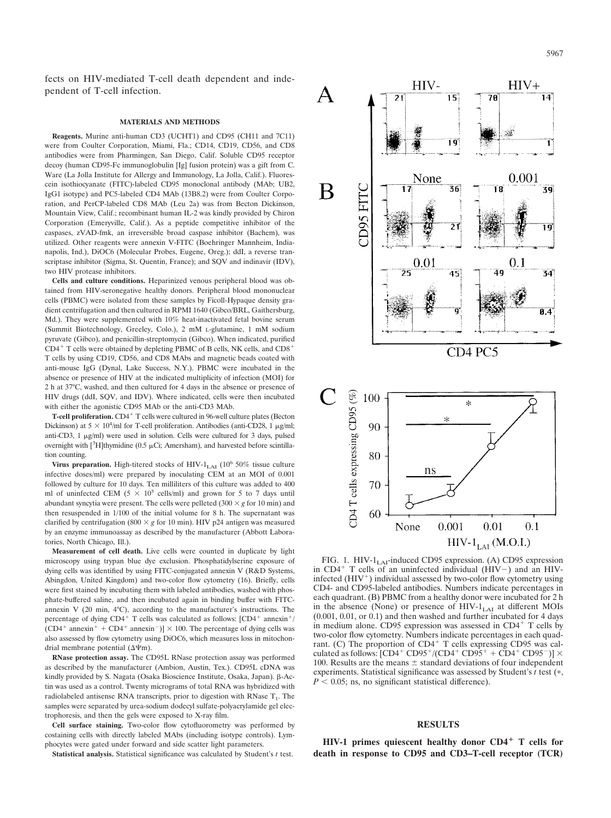fects on HIV-mediated T-cell death dependent and independent of T-cell infection.

#### **MATERIALS AND METHODS**

**Reagents.** Murine anti-human CD3 (UCHT1) and CD95 (CH11 and 7C11) were from Coulter Corporation, Miami, Fla.; CD14, CD19, CD56, and CD8 antibodies were from Pharmingen, San Diego, Calif. Soluble CD95 receptor decoy (human CD95-Fc immunoglobulin [Ig] fusion protein) was a gift from C. Ware (La Jolla Institute for Allergy and Immunology, La Jolla, Calif.). Fluorescein isothiocyanate (FITC)-labeled CD95 monoclonal antibody (MAb; UB2, IgG1 isotype) and PC5-labeled CD4 MAb (13B8.2) were from Coulter Corporation, and PerCP-labeled CD8 MAb (Leu 2a) was from Becton Dickinson, Mountain View, Calif.; recombinant human IL-2 was kindly provided by Chiron Corporation (Emeryville, Calif.). As a peptide competitive inhibitor of the caspases, zVAD-fmk, an irreversible broad caspase inhibitor (Bachem), was utilized. Other reagents were annexin V-FITC (Boehringer Mannheim, Indianapolis, Ind.), DiOC6 (Molecular Probes, Eugene, Oreg.); ddI, a reverse transcriptase inhibitor (Sigma, St. Quentin, France); and SQV and indinavir (IDV), two HIV protease inhibitors.

**Cells and culture conditions.** Heparinized venous peripheral blood was obtained from HIV-seronegative healthy donors. Peripheral blood mononuclear cells (PBMC) were isolated from these samples by Ficoll-Hypaque density gradient centrifugation and then cultured in RPMI 1640 (Gibco/BRL, Gaithersburg, Md.). They were supplemented with 10% heat-inactivated fetal bovine serum (Summit Biotechnology, Greeley, Colo.), 2 mM L-glutamine, 1 mM sodium pyruvate (Gibco), and penicillin-streptomycin (Gibco). When indicated, purified CD4<sup>+</sup> T cells were obtained by depleting PBMC of B cells, NK cells, and CD8<sup>+</sup> T cells by using CD19, CD56, and CD8 MAbs and magnetic beads coated with anti-mouse IgG (Dynal, Lake Success, N.Y.). PBMC were incubated in the absence or presence of HIV at the indicated multiplicity of infection (MOI) for 2 h at 37°C, washed, and then cultured for 4 days in the absence or presence of HIV drugs (ddI, SQV, and IDV). Where indicated, cells were then incubated with either the agonistic CD95 MAb or the anti-CD3 MAb.

**T-cell proliferation.** CD4<sup>+</sup> T cells were cultured in 96-well culture plates (Becton Dickinson) at  $5 \times 10^4$ /ml for T-cell proliferation. Antibodies (anti-CD28, 1  $\mu$ g/ml; anti-CD3,  $1 \mu g/ml$ ) were used in solution. Cells were cultured for 3 days, pulsed overnight with  $[3H]$ thymidine (0.5 µCi; Amersham), and harvested before scintillation counting.

**Virus preparation.** High-titered stocks of HIV- $1_{LAI}$  (10<sup>6</sup> 50% tissue culture infective doses/ml) were prepared by inoculating CEM at an MOI of 0.001 followed by culture for 10 days. Ten milliliters of this culture was added to 400 ml of uninfected CEM ( $5 \times 10^5$  cells/ml) and grown for 5 to 7 days until abundant syncytia were present. The cells were pelleted  $(300 \times g$  for 10 min) and then resuspended in 1/100 of the initial volume for 8 h. The supernatant was clarified by centrifugation (800  $\times$  g for 10 min). HIV p24 antigen was measured by an enzyme immunoassay as described by the manufacturer (Abbott Laboratories, North Chicago, Ill.).

**Measurement of cell death.** Live cells were counted in duplicate by light microscopy using trypan blue dye exclusion. Phosphatidylserine exposure of dying cells was identified by using FITC-conjugated annexin V (R&D Systems, Abingdon, United Kingdom) and two-color flow cytometry (16). Briefly, cells were first stained by incubating them with labeled antibodies, washed with phosphate-buffered saline, and then incubated again in binding buffer with FITCannexin V (20 min, 4°C), according to the manufacturer's instructions. The percentage of dying  $CD4^+$  T cells was calculated as follows:  $[CD4^+$  annexin<sup>+</sup>/  $(CD4^+$  annexin<sup>+</sup> +  $CD4^+$  annexin<sup>-</sup>)]  $\times$  100. The percentage of dying cells was also assessed by flow cytometry using DiOC6, which measures loss in mitochondrial membrane potential ( $\Delta \Psi$ m).

**RNase protection assay.** The CD95L RNase protection assay was performed as described by the manufacturer (Ambion, Austin, Tex.). CD95L cDNA was kindly provided by S. Nagata (Osaka Bioscience Institute, Osaka, Japan).  $\beta$ -Actin was used as a control. Twenty micrograms of total RNA was hybridized with radiolabeled antisense RNA transcripts, prior to digestion with RNase  $T_1$ . The samples were separated by urea-sodium dodecyl sulfate-polyacrylamide gel electrophoresis, and then the gels were exposed to X-ray film.

**Cell surface staining.** Two-color flow cytofluorometry was performed by costaining cells with directly labeled MAbs (including isotype controls). Lymphocytes were gated under forward and side scatter light parameters.

**Statistical analysis.** Statistical significance was calculated by Student's *t* test.



FIG. 1. HIV-1<sub>LAI</sub>-induced CD95 expression. (A) CD95 expression in  $CD4^+$  T cells of an uninfected individual ( $\overline{HIV}$ ) and an  $\overline{HIV}$ infected  $(HIV^+)$  individual assessed by two-color flow cytometry using CD4- and CD95-labeled antibodies. Numbers indicate percentages in each quadrant. (B) PBMC from a healthy donor were incubated for 2 h in the absence (None) or presence of  $HIV-1<sub>LAI</sub>$  at different MOIs (0.001, 0.01, or 0.1) and then washed and further incubated for 4 days in medium alone. CD95 expression was assessed in  $CD4^+$  T cells by two-color flow cytometry. Numbers indicate percentages in each quadrant. (C) The proportion of CD4<sup>+</sup> T cells expressing CD95 was calculated as follows:  $[CD4^+ CD95^+/(CD4^+ CD95^+ + CD4^+ CD95^-)] \times$ 100. Results are the means  $\pm$  standard deviations of four independent experiments. Statistical significance was assessed by Student's *t* test (\*,  $P < 0.05$ ; ns, no significant statistical difference).

## **RESULTS**

**HIV-1 primes quiescent healthy donor CD4 T cells for death in response to CD95 and CD3–T-cell receptor (TCR)**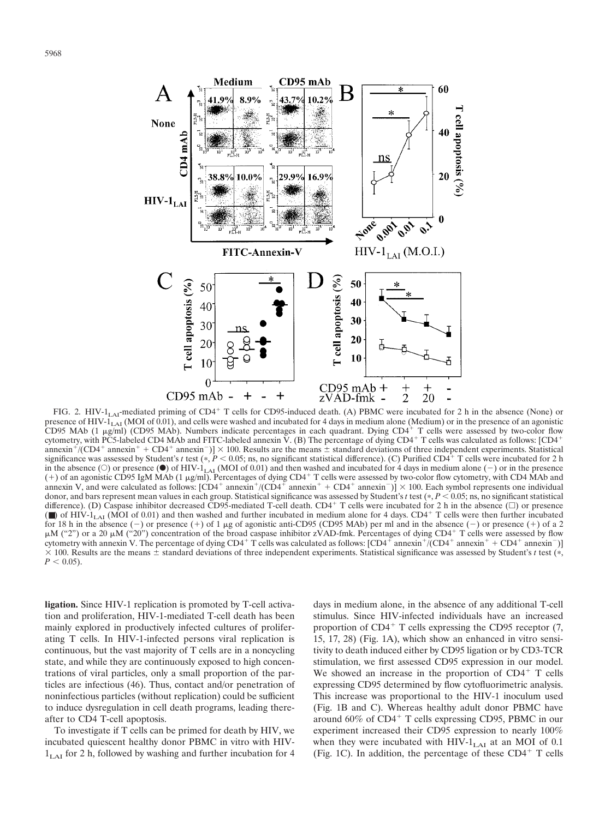

FIG. 2. HIV-1<sub>LAI</sub>-mediated priming of CD4<sup>+</sup> T cells for CD95-induced death. (A) PBMC were incubated for 2 h in the absence (None) or presence of HIV- $1_{LA}$  (MOI of 0.01), and cells were washed and incubated for 4 days in medium alone (Medium) or in the presence of an agonistic CD95 MAb (1  $\mu$ g/ml) (CD95 MAb). Numbers indicate percentages in each quadrant. Dying CD4<sup>+</sup> T cells were assessed by two-color flow cytometry, with PC5-labeled CD4 MAb and FITC-labeled annexin V. (B) The percentage of dying CD4<sup>+</sup> T cells was calculated as follows: [CD4<sup>+</sup> annexin<sup>+</sup>/(CD4<sup>+</sup> annexin<sup>+</sup> + CD4<sup>+</sup> annexin<sup>-</sup>)]  $\times$  100. Results are the means  $\pm$  standard deviations of three independent experiments. Statistical significance was assessed by Student's *t* test (\*,  $P < 0.05$ ; ns, no significant statistical difference). (C) Purified CD4<sup>+</sup> T cells were incubated for 2 h in the absence (O) or presence ( $\bullet$ ) of HIV-1<sub>LAI</sub> (MOI of 0.01) and then washed and incubated for 4 days in medium alone (-) or in the presence (+) of an agonistic CD95 IgM MAb (1  $\mu$ g/ml). Percentages of dying CD4<sup>+</sup> T cells were assessed by two-color flow cytometry, with CD4 MAb and annexin V, and were calculated as follows:  $[CD4^+$  annexin<sup>+</sup>/(CD4<sup>+</sup> annexin<sup>+</sup> + CD4<sup>+</sup> annexin<sup>-</sup>)]  $\times$  100. Each symbol represents one individual donor, and bars represent mean values in each group. Statistical significance was assessed by Student's  $t$  test ( $*, P < 0.05$ ; ns, no significant statistical difference). (D) Caspase inhibitor decreased CD95-mediated T-cell death.  $CD4^+$  T cells were incubated for 2 h in the absence ( $\square$ ) or presence ( $\blacksquare$ ) of HIV-1<sub>LAI</sub> (MOI of 0.01) and then washed and further incubated in medium alone for 4 days. CD4<sup>+</sup> T cells were then further incubated for 18 h in the absence (–) or presence (+) of 1  $\mu$ g of agonistic anti-CD95 (CD95 MAb) per ml and in the absence (–) or presence (+) of a 2  $\mu$ M ("2") or a 20  $\mu$ M ("20") concentration of the broad caspase inhibitor zVAD-fmk. Percentages of dying CD4+ T cells were assessed by flow cytometry with annexin V. The percentage of dying  $CD4^+$  T cells was calculated as follows:  $[CD4^+$  annexin<sup>+</sup>/ $(CD4^+$  annexin<sup>+</sup> +  $CD4^+$  annexin<sup>-</sup>)]  $\times$  100. Results are the means  $\pm$  standard deviations of three independent experiments. Statistical significance was assessed by Student's *t* test (\*,  $P < 0.05$ ).

**ligation.** Since HIV-1 replication is promoted by T-cell activation and proliferation, HIV-1-mediated T-cell death has been mainly explored in productively infected cultures of proliferating T cells. In HIV-1-infected persons viral replication is continuous, but the vast majority of T cells are in a noncycling state, and while they are continuously exposed to high concentrations of viral particles, only a small proportion of the particles are infectious (46). Thus, contact and/or penetration of noninfectious particles (without replication) could be sufficient to induce dysregulation in cell death programs, leading thereafter to CD4 T-cell apoptosis.

To investigate if T cells can be primed for death by HIV, we incubated quiescent healthy donor PBMC in vitro with HIV- $1_{\text{LAI}}$  for 2 h, followed by washing and further incubation for 4 days in medium alone, in the absence of any additional T-cell stimulus. Since HIV-infected individuals have an increased proportion of  $CD4^+$  T cells expressing the CD95 receptor (7, 15, 17, 28) (Fig. 1A), which show an enhanced in vitro sensitivity to death induced either by CD95 ligation or by CD3-TCR stimulation, we first assessed CD95 expression in our model. We showed an increase in the proportion of  $CD4<sup>+</sup>$  T cells expressing CD95 determined by flow cytofluorimetric analysis. This increase was proportional to the HIV-1 inoculum used (Fig. 1B and C). Whereas healthy adult donor PBMC have around  $60\%$  of CD4<sup>+</sup> T cells expressing CD95, PBMC in our experiment increased their CD95 expression to nearly 100% when they were incubated with  $HIV-1<sub>LAT</sub>$  at an MOI of 0.1 (Fig. 1C). In addition, the percentage of these  $CD4^+$  T cells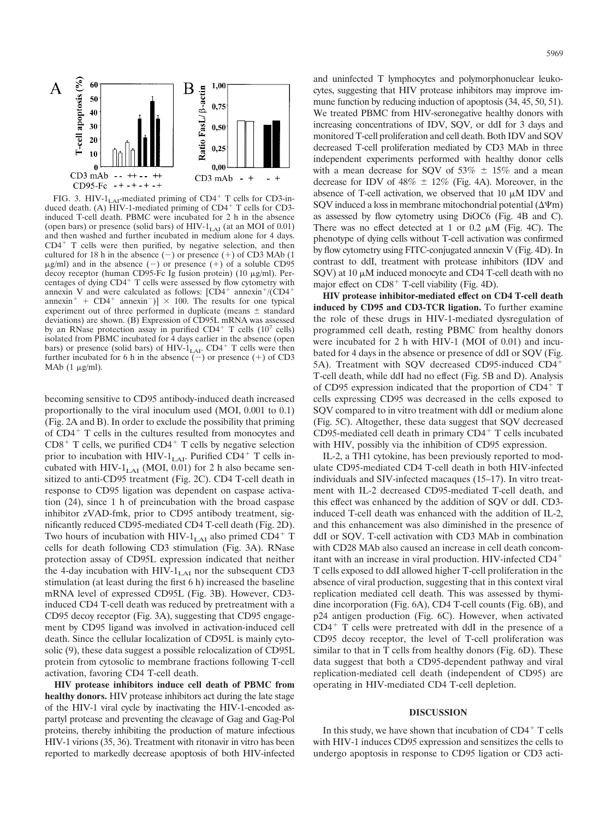

FIG. 3. HIV-1<sub>LAI</sub>-mediated priming of  $CD4^+$  T cells for CD3-in-<br>duced death. (A) HIV-1-mediated priming of  $CD4^+$  T cells for CD3induced T-cell death. PBMC were incubated for 2 h in the absence (open bars) or presence (solid bars) of  $HIV-1<sub>LAI</sub>$  (at an MOI of 0.01) and then washed and further incubated in medium alone for 4 days.  $CD4<sup>+</sup>$  T cells were then purified, by negative selection, and then cultured for 18 h in the absence  $(-)$  or presence  $(+)$  of CD3 MAb (1)  $\mu$ g/ml) and in the absence (–) or presence (+) of a soluble CD95 decoy receptor (human CD95-Fc Ig fusion protein) (10  $\mu$ g/ml). Percentages of dying  $CD4<sup>+</sup>$  T cells were assessed by flow cytometry with annexin V and were calculated as follows:  $[CD4^+$  annexin<sup>+</sup>/(CD4<sup>+</sup> annexin<sup>+</sup> + CD4<sup>+</sup> annexin<sup>-</sup>)]  $\times$  100. The results for one typical experiment out of three performed in duplicate (means  $\pm$  standard deviations) are shown. (B) Expression of CD95L mRNA was assessed by an RNase protection assay in purified  $CD4^+$  T cells  $(10^7 \text{ cells})$ isolated from PBMC incubated for 4 days earlier in the absence (open bars) or presence (solid bars) of HIV- $1_{LAI}$ . CD4<sup>+</sup> T cells were then further incubated for 6 h in the absence  $(-)$  or presence  $(+)$  of CD3 MAb  $(1 \mu g/ml)$ .

becoming sensitive to CD95 antibody-induced death increased proportionally to the viral inoculum used (MOI, 0.001 to 0.1) (Fig. 2A and B). In order to exclude the possibility that priming of  $CD4^+$  T cells in the cultures resulted from monocytes and  $CD8<sup>+</sup>$  T cells, we purified  $CD4<sup>+</sup>$  T cells by negative selection prior to incubation with HIV-1<sub>LAI</sub>. Purified CD4<sup>+</sup> T cells incubated with HIV- $1_{LAI}$  (MOI, 0.01) for 2 h also became sensitized to anti-CD95 treatment (Fig. 2C). CD4 T-cell death in response to CD95 ligation was dependent on caspase activation (24), since 1 h of preincubation with the broad caspase inhibitor zVAD-fmk, prior to CD95 antibody treatment, significantly reduced CD95-mediated CD4 T-cell death (Fig. 2D). Two hours of incubation with HIV-1<sub>LAI</sub> also primed CD4<sup>+</sup> T cells for death following CD3 stimulation (Fig. 3A). RNase protection assay of CD95L expression indicated that neither the 4-day incubation with  $HIV-1<sub>LAT</sub>$  nor the subsequent CD3 stimulation (at least during the first 6 h) increased the baseline mRNA level of expressed CD95L (Fig. 3B). However, CD3 induced CD4 T-cell death was reduced by pretreatment with a CD95 decoy receptor (Fig. 3A), suggesting that CD95 engagement by CD95 ligand was involved in activation-induced cell death. Since the cellular localization of CD95L is mainly cytosolic (9), these data suggest a possible relocalization of CD95L protein from cytosolic to membrane fractions following T-cell activation, favoring CD4 T-cell death.

**HIV protease inhibitors induce cell death of PBMC from healthy donors.** HIV protease inhibitors act during the late stage of the HIV-1 viral cycle by inactivating the HIV-1-encoded aspartyl protease and preventing the cleavage of Gag and Gag-Pol proteins, thereby inhibiting the production of mature infectious HIV-1 virions (35, 36). Treatment with ritonavir in vitro has been reported to markedly decrease apoptosis of both HIV-infected and uninfected T lymphocytes and polymorphonuclear leukocytes, suggesting that HIV protease inhibitors may improve immune function by reducing induction of apoptosis (34, 45, 50, 51). We treated PBMC from HIV-seronegative healthy donors with increasing concentrations of IDV, SQV, or ddI for 3 days and monitored T-cell proliferation and cell death. Both IDV and SQV decreased T-cell proliferation mediated by CD3 MAb in three independent experiments performed with healthy donor cells with a mean decrease for SQV of  $53\% \pm 15\%$  and a mean decrease for IDV of  $48\% \pm 12\%$  (Fig. 4A). Moreover, in the absence of T-cell activation, we observed that  $10 \mu M$  IDV and SOV induced a loss in membrane mitochondrial potential  $(\Delta \Psi m)$ as assessed by flow cytometry using DiOC6 (Fig. 4B and C). There was no effect detected at 1 or 0.2  $\mu$ M (Fig. 4C). The phenotype of dying cells without T-cell activation was confirmed by flow cytometry using FITC-conjugated annexin V (Fig. 4D). In contrast to ddI, treatment with protease inhibitors (IDV and  $SOV$ ) at 10  $\mu$ M induced monocyte and CD4 T-cell death with no major effect on  $CD8<sup>+</sup>$  T-cell viability (Fig. 4D).

**HIV protease inhibitor-mediated effect on CD4 T-cell death induced by CD95 and CD3-TCR ligation.** To further examine the role of these drugs in HIV-1-mediated dysregulation of programmed cell death, resting PBMC from healthy donors were incubated for 2 h with HIV-1 (MOI of 0.01) and incubated for 4 days in the absence or presence of ddI or SQV (Fig. 5A). Treatment with SQV decreased CD95-induced CD4 T-cell death, while ddI had no effect (Fig. 5B and D). Analysis of CD95 expression indicated that the proportion of  $CD4^+$  T cells expressing CD95 was decreased in the cells exposed to SQV compared to in vitro treatment with ddI or medium alone (Fig. 5C). Altogether, these data suggest that SQV decreased CD95-mediated cell death in primary  $CD4<sup>+</sup>$  T cells incubated with HIV, possibly via the inhibition of CD95 expression.

IL-2, a TH1 cytokine, has been previously reported to modulate CD95-mediated CD4 T-cell death in both HIV-infected individuals and SIV-infected macaques (15–17). In vitro treatment with IL-2 decreased CD95-mediated T-cell death, and this effect was enhanced by the addition of SQV or ddI. CD3 induced T-cell death was enhanced with the addition of IL-2, and this enhancement was also diminished in the presence of ddI or SQV. T-cell activation with CD3 MAb in combination with CD28 MAb also caused an increase in cell death concomitant with an increase in viral production. HIV-infected CD4 T cells exposed to ddI allowed higher T-cell proliferation in the absence of viral production, suggesting that in this context viral replication mediated cell death. This was assessed by thymidine incorporation (Fig. 6A), CD4 T-cell counts (Fig. 6B), and p24 antigen production (Fig. 6C). However, when activated  $CD4<sup>+</sup>$  T cells were pretreated with ddI in the presence of a CD95 decoy receptor, the level of T-cell proliferation was similar to that in T cells from healthy donors (Fig. 6D). These data suggest that both a CD95-dependent pathway and viral replication-mediated cell death (independent of CD95) are operating in HIV-mediated CD4 T-cell depletion.

## **DISCUSSION**

In this study, we have shown that incubation of  $CD4^+$  T cells with HIV-1 induces CD95 expression and sensitizes the cells to undergo apoptosis in response to CD95 ligation or CD3 acti-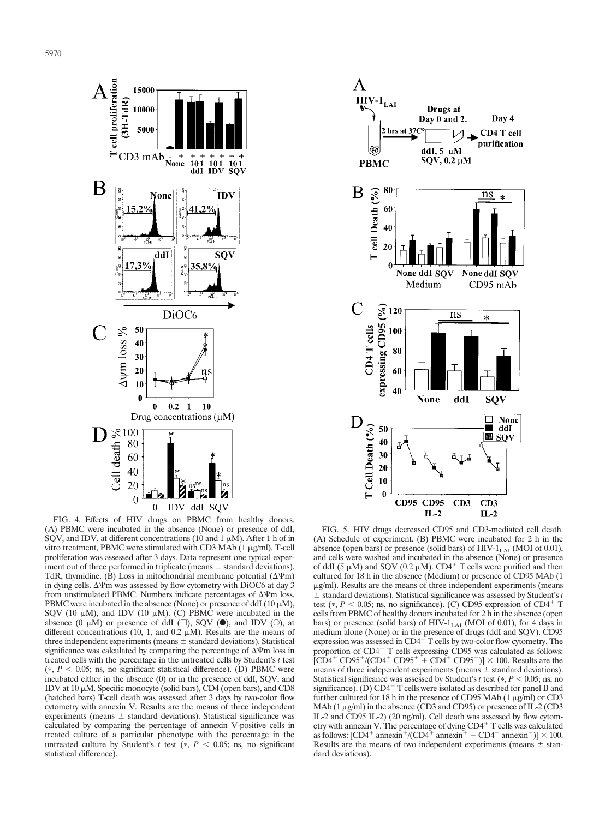

FIG. 4. Effects of HIV drugs on PBMC from healthy donors. (A) PBMC were incubated in the absence (None) or presence of ddI, SQV, and IDV, at different concentrations (10 and 1  $\mu$ M). After 1 h of in vitro treatment, PBMC were stimulated with CD3 MAb  $(1 \mu g/ml)$ . T-cell proliferation was assessed after 3 days. Data represent one typical experiment out of three performed in triplicate (means  $\pm$  standard deviations). TdR, thymidine. (B) Loss in mitochondrial membrane potential  $(\Delta \Psi m)$ in dying cells.  $\Delta \Psi$ m was assessed by flow cytometry with DiOC6 at day 3 from unstimulated PBMC. Numbers indicate percentages of  $\Delta \Psi$ m loss. PBMC were incubated in the absence (None) or presence of ddI  $(10 \mu M)$ , SQV (10  $\mu$ M), and IDV (10  $\mu$ M). (C) PBMC were incubated in the absence  $(0 \mu M)$  or presence of ddI  $(\square)$ , SQV  $(0)$ , and IDV  $(0)$ , at different concentrations (10, 1, and 0.2  $\mu$ M). Results are the means of three independent experiments (means  $\pm$  standard deviations). Statistical significance was calculated by comparing the percentage of  $\Delta \Psi$ m loss in treated cells with the percentage in the untreated cells by Student's *t* test  $(*, P < 0.05; \text{ns}, \text{no significant statistical difference}).$  (D) PBMC were incubated either in the absence (0) or in the presence of ddI, SQV, and IDV at 10  $\mu$ M. Specific monocyte (solid bars), CD4 (open bars), and CD8 (hatched bars) T-cell death was assessed after 3 days by two-color flow cytometry with annexin V. Results are the means of three independent experiments (means  $\pm$  standard deviations). Statistical significance was calculated by comparing the percentage of annexin V-positive cells in treated culture of a particular phenotype with the percentage in the untreated culture by Student's  $t$  test ( $\ast$ ,  $P < 0.05$ ; ns, no significant statistical difference).



FIG. 5. HIV drugs decreased CD95 and CD3-mediated cell death. (A) Schedule of experiment. (B) PBMC were incubated for 2 h in the absence (open bars) or presence (solid bars) of  $HIV-1<sub>LAI</sub>$  (MOI of 0.01), and cells were washed and incubated in the absence (None) or presence of ddI (5  $\mu$ M) and SQV (0.2  $\mu$ M). CD4<sup>+</sup> T cells were purified and then cultured for 18 h in the absence (Medium) or presence of CD95 MAb (1  $\mu$ g/ml). Results are the means of three independent experiments (means  $\pm$  standard deviations). Statistical significance was assessed by Student's *t* test ( $P < 0.05$ ; ns, no significance). (C) CD95 expression of CD4<sup>+</sup> T cells from PBMC of healthy donors incubated for 2 h in the absence (open bars) or presence (solid bars) of HIV- $1_{LAI}$  (MOI of 0.01), for 4 days in medium alone (None) or in the presence of drugs (ddI and SQV). CD95 expression was assessed in CD4<sup>+</sup> T cells by two-color flow cytometry. The proportion of  $CD4^+$  T cells expressing CD95 was calculated as follows:  $[CD4^+$  CD95<sup>+</sup>/(CD4<sup>+</sup> CD95<sup>+</sup> + CD4<sup>+</sup> CD95<sup>-</sup>)]  $\times$  100. Results are the means of three independent experiments (means  $\pm$  standard deviations). Statistical significance was assessed by Student's *t* test ( $P < 0.05$ ; ns, no significance). (D)  $CD4^+$  T cells were isolated as described for panel B and further cultured for 18 h in the presence of CD95 MAb  $(1 \mu g/ml)$  or CD3 MAb  $(1 \mu g/ml)$  in the absence (CD3 and CD95) or presence of IL-2 (CD3 IL-2 and CD95 IL-2) (20 ng/ml). Cell death was assessed by flow cytometry with annexin V. The percentage of dying CD4<sup>+</sup> T cells was calculated as follows:  $[CD4^+$  annexin<sup>+</sup>/(CD4<sup> $\pm$ </sup> annexin<sup> $\pm$ </sup> + CD4<sup>+</sup> annexin<sup>-</sup>)]  $\times$  100. Results are the means of two independent experiments (means  $\pm$  standard deviations).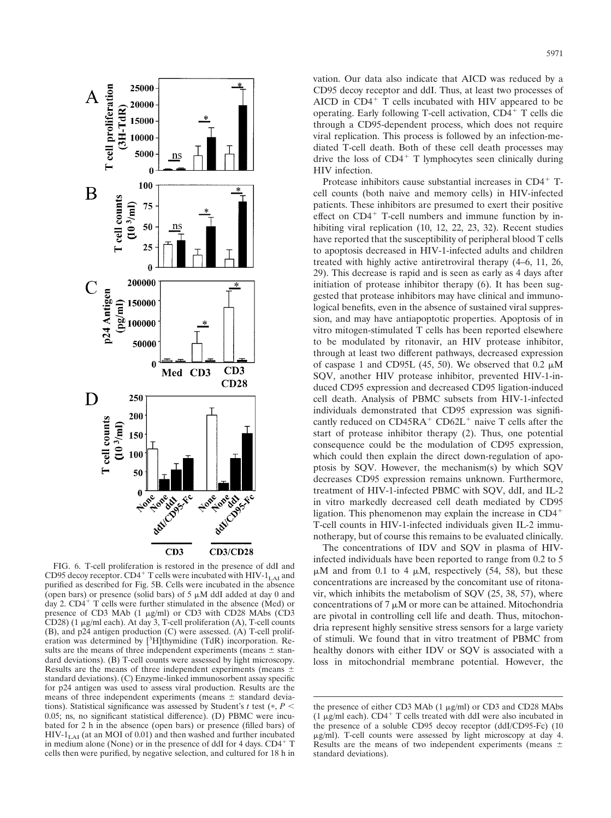

FIG. 6. T-cell proliferation is restored in the presence of ddI and CD95 decoy receptor. CD4<sup>+</sup> T cells were incubated with HIV-1<sub>LAI</sub> and purified as described for Fig. 5B. Cells were incubated in the absence (open bars) or presence (solid bars) of  $5 \mu M$  ddI added at day 0 and day 2.  $CD4+T$  cells were further stimulated in the absence (Med) or presence of CD3 MAb  $(1 \mu g/ml)$  or CD3 with CD28 MAbs  $(CD3)$ CD28)  $(1 \mu g/ml$  each). At day 3, T-cell proliferation  $(A)$ , T-cell counts (B), and p24 antigen production (C) were assessed. (A) T-cell proliferation was determined by [<sup>3</sup>H]thymidine (TdR) incorporation. Results are the means of three independent experiments (means  $\pm$  standard deviations). (B) T-cell counts were assessed by light microscopy. Results are the means of three independent experiments (means  $\pm$ standard deviations). (C) Enzyme-linked immunosorbent assay specific for p24 antigen was used to assess viral production. Results are the means of three independent experiments (means  $\pm$  standard deviations). Statistical significance was assessed by Student's  $t$  test ( $\ast$ ,  $P$  < 0.05; ns, no significant statistical difference). (D) PBMC were incubated for 2 h in the absence (open bars) or presence (filled bars) of  $HIV-1<sub>LAI</sub>$  (at an MOI of 0.01) and then washed and further incubated in medium alone (None) or in the presence of ddI for 4 days.  $CD4<sup>+</sup>$  T cells then were purified, by negative selection, and cultured for 18 h in

vation. Our data also indicate that AICD was reduced by a CD95 decoy receptor and ddI. Thus, at least two processes of AICD in  $CD4<sup>+</sup>$  T cells incubated with HIV appeared to be operating. Early following T-cell activation,  $CD4<sup>+</sup>$  T cells die through a CD95-dependent process, which does not require viral replication. This process is followed by an infection-mediated T-cell death. Both of these cell death processes may drive the loss of  $CD4<sup>+</sup>$  T lymphocytes seen clinically during HIV infection.

Protease inhibitors cause substantial increases in CD4<sup>+</sup> Tcell counts (both naive and memory cells) in HIV-infected patients. These inhibitors are presumed to exert their positive effect on  $CD4^+$  T-cell numbers and immune function by inhibiting viral replication (10, 12, 22, 23, 32). Recent studies have reported that the susceptibility of peripheral blood T cells to apoptosis decreased in HIV-1-infected adults and children treated with highly active antiretroviral therapy (4–6, 11, 26, 29). This decrease is rapid and is seen as early as 4 days after initiation of protease inhibitor therapy (6). It has been suggested that protease inhibitors may have clinical and immunological benefits, even in the absence of sustained viral suppression, and may have antiapoptotic properties. Apoptosis of in vitro mitogen-stimulated T cells has been reported elsewhere to be modulated by ritonavir, an HIV protease inhibitor, through at least two different pathways, decreased expression of caspase 1 and CD95L (45, 50). We observed that  $0.2 \mu M$ SQV, another HIV protease inhibitor, prevented HIV-1-induced CD95 expression and decreased CD95 ligation-induced cell death. Analysis of PBMC subsets from HIV-1-infected individuals demonstrated that CD95 expression was significantly reduced on  $CD45RA^+$   $CD62L^+$  naive T cells after the start of protease inhibitor therapy (2). Thus, one potential consequence could be the modulation of CD95 expression, which could then explain the direct down-regulation of apoptosis by SQV. However, the mechanism(s) by which SQV decreases CD95 expression remains unknown. Furthermore, treatment of HIV-1-infected PBMC with SQV, ddI, and IL-2 in vitro markedly decreased cell death mediated by CD95 ligation. This phenomenon may explain the increase in CD4 T-cell counts in HIV-1-infected individuals given IL-2 immunotherapy, but of course this remains to be evaluated clinically.

The concentrations of IDV and SQV in plasma of HIVinfected individuals have been reported to range from 0.2 to 5  $\mu$ M and from 0.1 to 4  $\mu$ M, respectively (54, 58), but these concentrations are increased by the concomitant use of ritonavir, which inhibits the metabolism of SQV (25, 38, 57), where concentrations of  $7 \mu M$  or more can be attained. Mitochondria are pivotal in controlling cell life and death. Thus, mitochondria represent highly sensitive stress sensors for a large variety of stimuli. We found that in vitro treatment of PBMC from healthy donors with either IDV or SQV is associated with a loss in mitochondrial membrane potential. However, the

the presence of either CD3 MAb  $(1 \mu g/ml)$  or CD3 and CD28 MAbs  $(1 \mu g/ml$  each). CD4<sup>+</sup> T cells treated with ddI were also incubated in the presence of a soluble CD95 decoy receptor (ddI/CD95-Fc) (10 -g/ml). T-cell counts were assessed by light microscopy at day 4. Results are the means of two independent experiments (means  $\pm$ standard deviations).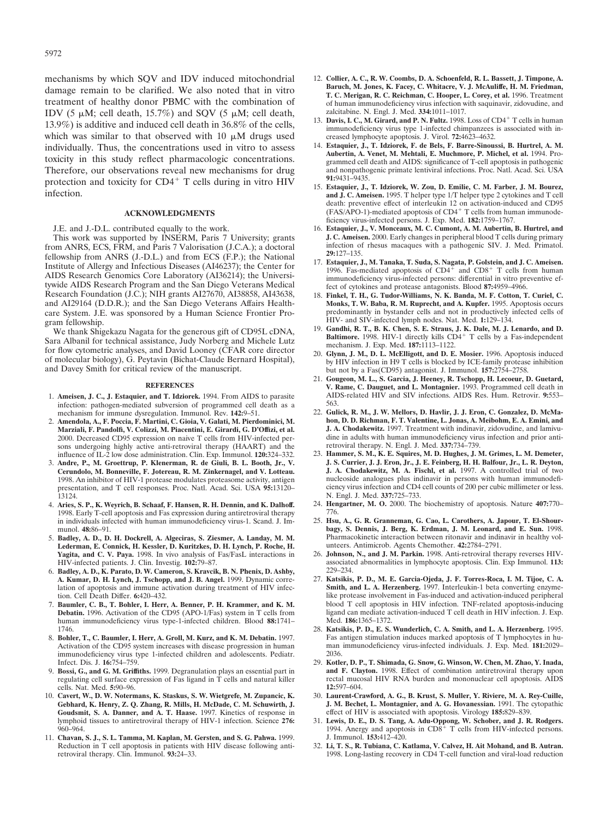mechanisms by which SQV and IDV induced mitochondrial damage remain to be clarified. We also noted that in vitro treatment of healthy donor PBMC with the combination of IDV (5  $\mu$ M; cell death, 15.7%) and SQV (5  $\mu$ M; cell death, 13.9%) is additive and induced cell death in 36.8% of the cells, which was similar to that observed with  $10 \mu M$  drugs used individually. Thus, the concentrations used in vitro to assess toxicity in this study reflect pharmacologic concentrations. Therefore, our observations reveal new mechanisms for drug protection and toxicity for  $CD4^+$  T cells during in vitro HIV infection.

# **ACKNOWLEDGMENTS**

J.E. and J.-D.L. contributed equally to the work.

This work was supported by INSERM, Paris 7 University; grants from ANRS, ECS, FRM, and Paris 7 Valorisation (J.C.A.); a doctoral fellowship from ANRS (J.-D.L.) and from ECS (F.P.); the National Institute of Allergy and Infectious Diseases (AI46237); the Center for AIDS Research Genomics Core Laboratory (AI36214); the Universitywide AIDS Research Program and the San Diego Veterans Medical Research Foundation (J.C.); NIH grants AI27670, AI38858, AI43638, and AI29164 (D.D.R.); and the San Diego Veterans Affairs Healthcare System. J.E. was sponsored by a Human Science Frontier Program fellowship.

We thank Shigekazu Nagata for the generous gift of CD95L cDNA, Sara Albanil for technical assistance, Judy Norberg and Michele Lutz for flow cytometric analyses, and David Looney (CFAR core director of molecular biology), G. Peytavin (Bichat-Claude Bernard Hospital), and Davey Smith for critical review of the manuscript.

### **REFERENCES**

- 1. **Ameisen, J. C., J. Estaquier, and T. Idziorek.** 1994. From AIDS to parasite infection: pathogen-mediated subversion of programmed cell death as a mechanism for immune dysregulation. Immunol. Rev. **142:**9–51.
- 2. **Amendola, A., F. Poccia, F. Martini, C. Gioia, V. Galati, M. Pierdominici, M. Marziali, F. Pandolfi, V. Colizzi, M. Piacentini, E. Girardi, G. D'Offizi, et al.** 2000. Decreased CD95 expression on naive T cells from HIV-infected persons undergoing highly active anti-retroviral therapy (HAART) and the influence of IL-2 low dose administration. Clin. Exp. Immunol. **120:**324–332.
- 3. **Andre, P., M. Groettrup, P. Klenerman, R. de Giuli, B. L. Booth, Jr., V. Cerundolo, M. Bonneville, F. Jotereau, R. M. Zinkernagel, and V. Lotteau.** 1998. An inhibitor of HIV-1 protease modulates proteasome activity, antigen presentation, and T cell responses. Proc. Natl. Acad. Sci. USA **95:**13120– 13124.
- 4. **Aries, S. P., K. Weyrich, B. Schaaf, F. Hansen, R. H. Dennin, and K. Dalhoff.** 1998. Early T-cell apoptosis and Fas expression during antiretroviral therapy in individuals infected with human immunodeficiency virus-1. Scand. J. Immunol. **48:**86–91.
- 5. **Badley, A. D., D. H. Dockrell, A. Algeciras, S. Ziesmer, A. Landay, M. M. Lederman, E. Connick, H. Kessler, D. Kuritzkes, D. H. Lynch, P. Roche, H. Yagita, and C. V. Paya.** 1998. In vivo analysis of Fas/FasL interactions in HIV-infected patients. J. Clin. Investig. **102:**79–87.
- 6. **Badley, A. D., K. Parato, D. W. Cameron, S. Kravcik, B. N. Phenix, D. Ashby, A. Kumar, D. H. Lynch, J. Tschopp, and J. B. Angel.** 1999. Dynamic correlation of apoptosis and immune activation during treatment of HIV infection. Cell Death Differ. **6:**420–432.
- 7. **Baumler, C. B., T. Bohler, I. Herr, A. Benner, P. H. Krammer, and K. M. Debatin.** 1996. Activation of the CD95 (APO-1/Fas) system in T cells from human immunodeficiency virus type-1-infected children. Blood **88:**1741– 1746.
- 8. **Bohler, T., C. Baumler, I. Herr, A. Groll, M. Kurz, and K. M. Debatin.** 1997. Activation of the CD95 system increases with disease progression in human immunodeficiency virus type 1-infected children and adolescents. Pediatr. Infect. Dis. J. **16:**754–759.
- 9. **Bossi, G., and G. M. Griffiths.** 1999. Degranulation plays an essential part in regulating cell surface expression of Fas ligand in T cells and natural killer cells. Nat. Med. **5:**90–96.
- 10. **Cavert, W., D. W. Notermans, K. Staskus, S. W. Wietgrefe, M. Zupancic, K. Gebhard, K. Henry, Z. Q. Zhang, R. Mills, H. McDade, C. M. Schuwirth, J. Goudsmit, S. A. Danner, and A. T. Haase.** 1997. Kinetics of response in lymphoid tissues to antiretroviral therapy of HIV-1 infection. Science **276:** 960–964.
- 11. **Chavan, S. J., S. L. Tamma, M. Kaplan, M. Gersten, and S. G. Pahwa.** 1999. Reduction in T cell apoptosis in patients with HIV disease following antiretroviral therapy. Clin. Immunol. **93:**24–33.
- 12. **Collier, A. C., R. W. Coombs, D. A. Schoenfeld, R. L. Bassett, J. Timpone, A. Baruch, M. Jones, K. Facey, C. Whitacre, V. J. McAuliffe, H. M. Friedman, T. C. Merigan, R. C. Reichman, C. Hooper, L. Corey, et al.** 1996. Treatment of human immunodeficiency virus infection with saquinavir, zidovudine, and zalcitabine. N. Engl. J. Med. **334:**1011–1017.
- 13. Davis, I. C., M. Girard, and P. N. Fultz. 1998. Loss of CD4<sup>+</sup> T cells in human immunodeficiency virus type 1-infected chimpanzees is associated with increased lymphocyte apoptosis. J. Virol. **72:**4623–4632.
- 14. **Estaquier, J., T. Idziorek, F. de Bels, F. Barre-Sinoussi, B. Hurtrel, A. M. Aubertin, A. Venet, M. Mehtali, E. Muchmore, P. Michel, et al.** 1994. Programmed cell death and AIDS: significance of T-cell apoptosis in pathogenic and nonpathogenic primate lentiviral infections. Proc. Natl. Acad. Sci. USA **91:**9431–9435.
- 15. **Estaquier, J., T. Idziorek, W. Zou, D. Emilie, C. M. Farber, J. M. Bourez, and J. C. Ameisen.** 1995. T helper type 1/T helper type 2 cytokines and T cell death: preventive effect of interleukin 12 on activation-induced and CD95  $(FAS/APO-1)$ -mediated apoptosis of CD4<sup>+</sup> T cells from human immunodeficiency virus-infected persons. J. Exp. Med. **182:**1759–1767.
- 16. **Estaquier, J., V. Monceaux, M. C. Cumont, A. M. Aubertin, B. Hurtrel, and J. C. Ameisen.** 2000. Early changes in peripheral blood T cells during primary infection of rhesus macaques with a pathogenic SIV. J. Med. Primatol. **29:**127–135.
- 17. **Estaquier, J., M. Tanaka, T. Suda, S. Nagata, P. Golstein, and J. C. Ameisen.** 1996. Fas-mediated apoptosis of  $CD4^+$  and  $CD8^+$  T cells from human immunodeficiency virus-infected persons: differential in vitro preventive effect of cytokines and protease antagonists. Blood **87:**4959–4966.
- 18. **Finkel, T. H., G. Tudor-Williams, N. K. Banda, M. F. Cotton, T. Curiel, C. Monks, T. W. Baba, R. M. Ruprecht, and A. Kupfer.** 1995. Apoptosis occurs predominantly in bystander cells and not in productively infected cells of HIV- and SIV-infected lymph nodes. Nat. Med. **1:**129–134.
- 19. **Gandhi, R. T., B. K. Chen, S. E. Straus, J. K. Dale, M. J. Lenardo, and D. Baltimore.** 1998. HIV-1 directly kills CD4<sup>+</sup> T cells by a Fas-independent mechanism. J. Exp. Med. **187:**1113–1122.
- 20. **Glynn, J. M., D. L. McElligott, and D. E. Mosier.** 1996. Apoptosis induced by HIV infection in H9 T cells is blocked by ICE-family protease inhibition but not by a Fas(CD95) antagonist. J. Immunol. **157:**2754–2758.
- 21. **Gougeon, M. L., S. Garcia, J. Heeney, R. Tschopp, H. Lecoeur, D. Guetard, V. Rame, C. Dauguet, and L. Montagnier.** 1993. Programmed cell death in AIDS-related HIV and SIV infections. AIDS Res. Hum. Retrovir. **9:**553– 563.
- 22. **Gulick, R. M., J. W. Mellors, D. Havlir, J. J. Eron, C. Gonzalez, D. McMahon, D. D. Richman, F. T. Valentine, L. Jonas, A. Meibohm, E. A. Emini, and J. A. Chodakewitz.** 1997. Treatment with indinavir, zidovudine, and lamivudine in adults with human immunodeficiency virus infection and prior antiretroviral therapy. N. Engl. J. Med. **337:**734–739.
- 23. **Hammer, S. M., K. E. Squires, M. D. Hughes, J. M. Grimes, L. M. Demeter, J. S. Currier, J. J. Eron, Jr., J. E. Feinberg, H. H. Balfour, Jr., L. R. Deyton, J. A. Chodakewitz, M. A. Fischl, et al.** 1997. A controlled trial of two nucleoside analogues plus indinavir in persons with human immunodeficiency virus infection and CD4 cell counts of 200 per cubic millimeter or less. N. Engl. J. Med. **337:**725–733.
- 24. **Hengartner, M. O.** 2000. The biochemistry of apoptosis. Nature **407:**770– 776.
- 25. **Hsu, A., G. R. Granneman, G. Cao, L. Carothers, A. Japour, T. El-Shourbagy, S. Dennis, J. Berg, K. Erdman, J. M. Leonard, and E. Sun.** 1998. Pharmacokinetic interaction between ritonavir and indinavir in healthy volunteers. Antimicrob. Agents Chemother. **42:**2784–2791.
- 26. **Johnson, N., and J. M. Parkin.** 1998. Anti-retroviral therapy reverses HIVassociated abnormalities in lymphocyte apoptosis. Clin. Exp Immunol. **113:** 229–234.
- 27. **Katsikis, P. D., M. E. Garcia-Ojeda, J. F. Torres-Roca, I. M. Tijoe, C. A. Smith, and L. A. Herzenberg.** 1997. Interleukin-1 beta converting enzymelike protease involvement in Fas-induced and activation-induced peripheral blood T cell apoptosis in HIV infection. TNF-related apoptosis-inducing ligand can mediate activation-induced T cell death in HIV infection. J. Exp. Med. **186:**1365–1372.
- 28. **Katsikis, P. D., E. S. Wunderlich, C. A. Smith, and L. A. Herzenberg.** 1995. Fas antigen stimulation induces marked apoptosis of T lymphocytes in human immunodeficiency virus-infected individuals. J. Exp. Med. **181:**2029– 2036.
- 29. **Kotler, D. P., T. Shimada, G. Snow, G. Winson, W. Chen, M. Zhao, Y. Inada, and F. Clayton.** 1998. Effect of combination antiretroviral therapy upon rectal mucosal HIV RNA burden and mononuclear cell apoptosis. AIDS **12:**597–604.
- 30. **Laurent-Crawford, A. G., B. Krust, S. Muller, Y. Riviere, M. A. Rey-Cuille, J. M. Bechet, L. Montagnier, and A. G. Hovanessian.** 1991. The cytopathic effect of HIV is associated with apoptosis. Virology **185:**829–839.
- 31. Lewis, D. E., D. S. Tang, A. Adu-Oppong, W. Schober, and J. R. Rodgers.<br>1994. Anergy and apoptosis in CD8<sup>+</sup> T cells from HIV-infected persons. J. Immunol. **153:**412–420.
- 32. **Li, T. S., R. Tubiana, C. Katlama, V. Calvez, H. Ait Mohand, and B. Autran.** 1998. Long-lasting recovery in CD4 T-cell function and viral-load reduction